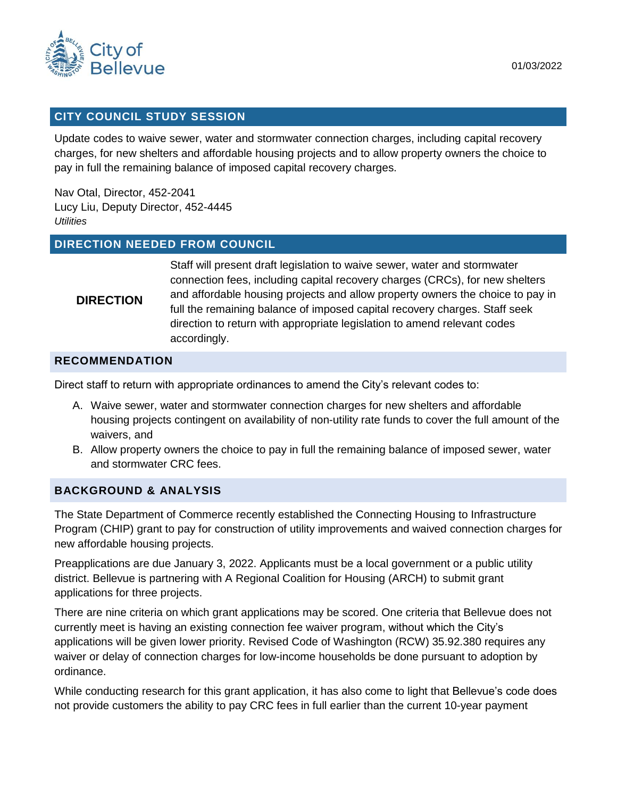

## **CITY COUNCIL STUDY SESSION**

Update codes to waive sewer, water and stormwater connection charges, including capital recovery charges, for new shelters and affordable housing projects and to allow property owners the choice to pay in full the remaining balance of imposed capital recovery charges.

Nav Otal, Director, 452-2041 Lucy Liu, Deputy Director, 452-4445 *Utilities*

#### **DIRECTION NEEDED FROM COUNCIL**

## **DIRECTION**

Staff will present draft legislation to waive sewer, water and stormwater connection fees, including capital recovery charges (CRCs), for new shelters and affordable housing projects and allow property owners the choice to pay in full the remaining balance of imposed capital recovery charges. Staff seek direction to return with appropriate legislation to amend relevant codes accordingly.

#### **RECOMMENDATION**

Direct staff to return with appropriate ordinances to amend the City's relevant codes to:

- A. Waive sewer, water and stormwater connection charges for new shelters and affordable housing projects contingent on availability of non-utility rate funds to cover the full amount of the waivers, and
- B. Allow property owners the choice to pay in full the remaining balance of imposed sewer, water and stormwater CRC fees.

#### **BACKGROUND & ANALYSIS**

The State Department of Commerce recently established the Connecting Housing to Infrastructure Program (CHIP) grant to pay for construction of utility improvements and waived connection charges for new affordable housing projects.

Preapplications are due January 3, 2022. Applicants must be a local government or a public utility district. Bellevue is partnering with A Regional Coalition for Housing (ARCH) to submit grant applications for three projects.

There are nine criteria on which grant applications may be scored. One criteria that Bellevue does not currently meet is having an existing connection fee waiver program, without which the City's applications will be given lower priority. Revised Code of Washington (RCW) 35.92.380 requires any waiver or delay of connection charges for low-income households be done pursuant to adoption by ordinance.

While conducting research for this grant application, it has also come to light that Bellevue's code does not provide customers the ability to pay CRC fees in full earlier than the current 10-year payment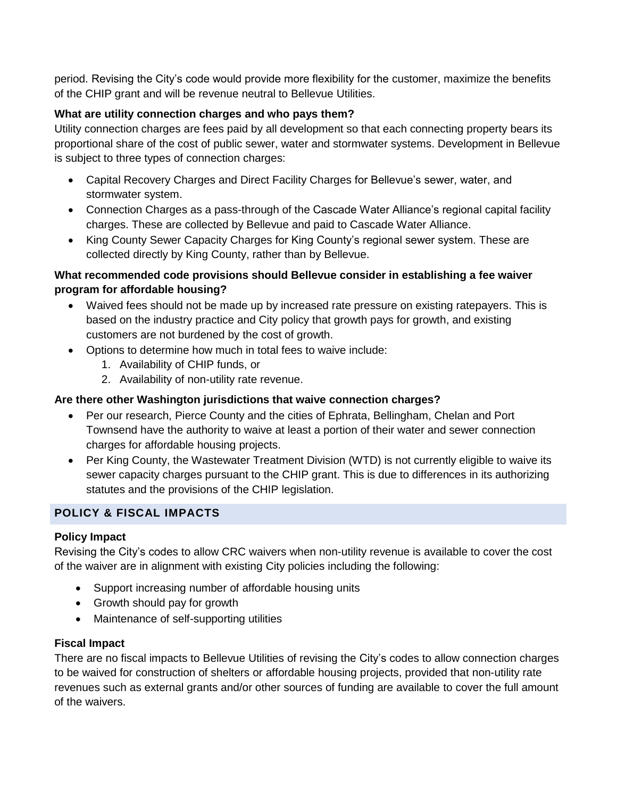period. Revising the City's code would provide more flexibility for the customer, maximize the benefits of the CHIP grant and will be revenue neutral to Bellevue Utilities.

## **What are utility connection charges and who pays them?**

Utility connection charges are fees paid by all development so that each connecting property bears its proportional share of the cost of public sewer, water and stormwater systems. Development in Bellevue is subject to three types of connection charges:

- Capital Recovery Charges and Direct Facility Charges for Bellevue's sewer, water, and stormwater system.
- Connection Charges as a pass-through of the Cascade Water Alliance's regional capital facility charges. These are collected by Bellevue and paid to Cascade Water Alliance.
- King County Sewer Capacity Charges for King County's regional sewer system. These are collected directly by King County, rather than by Bellevue.

## **What recommended code provisions should Bellevue consider in establishing a fee waiver program for affordable housing?**

- Waived fees should not be made up by increased rate pressure on existing ratepayers. This is based on the industry practice and City policy that growth pays for growth, and existing customers are not burdened by the cost of growth.
- Options to determine how much in total fees to waive include:
	- 1. Availability of CHIP funds, or
	- 2. Availability of non-utility rate revenue.

# **Are there other Washington jurisdictions that waive connection charges?**

- Per our research, Pierce County and the cities of Ephrata, Bellingham, Chelan and Port Townsend have the authority to waive at least a portion of their water and sewer connection charges for affordable housing projects.
- Per King County, the Wastewater Treatment Division (WTD) is not currently eligible to waive its sewer capacity charges pursuant to the CHIP grant. This is due to differences in its authorizing statutes and the provisions of the CHIP legislation.

# **POLICY & FISCAL IMPACTS**

## **Policy Impact**

Revising the City's codes to allow CRC waivers when non-utility revenue is available to cover the cost of the waiver are in alignment with existing City policies including the following:

- Support increasing number of affordable housing units
- Growth should pay for growth
- Maintenance of self-supporting utilities

## **Fiscal Impact**

There are no fiscal impacts to Bellevue Utilities of revising the City's codes to allow connection charges to be waived for construction of shelters or affordable housing projects, provided that non-utility rate revenues such as external grants and/or other sources of funding are available to cover the full amount of the waivers.